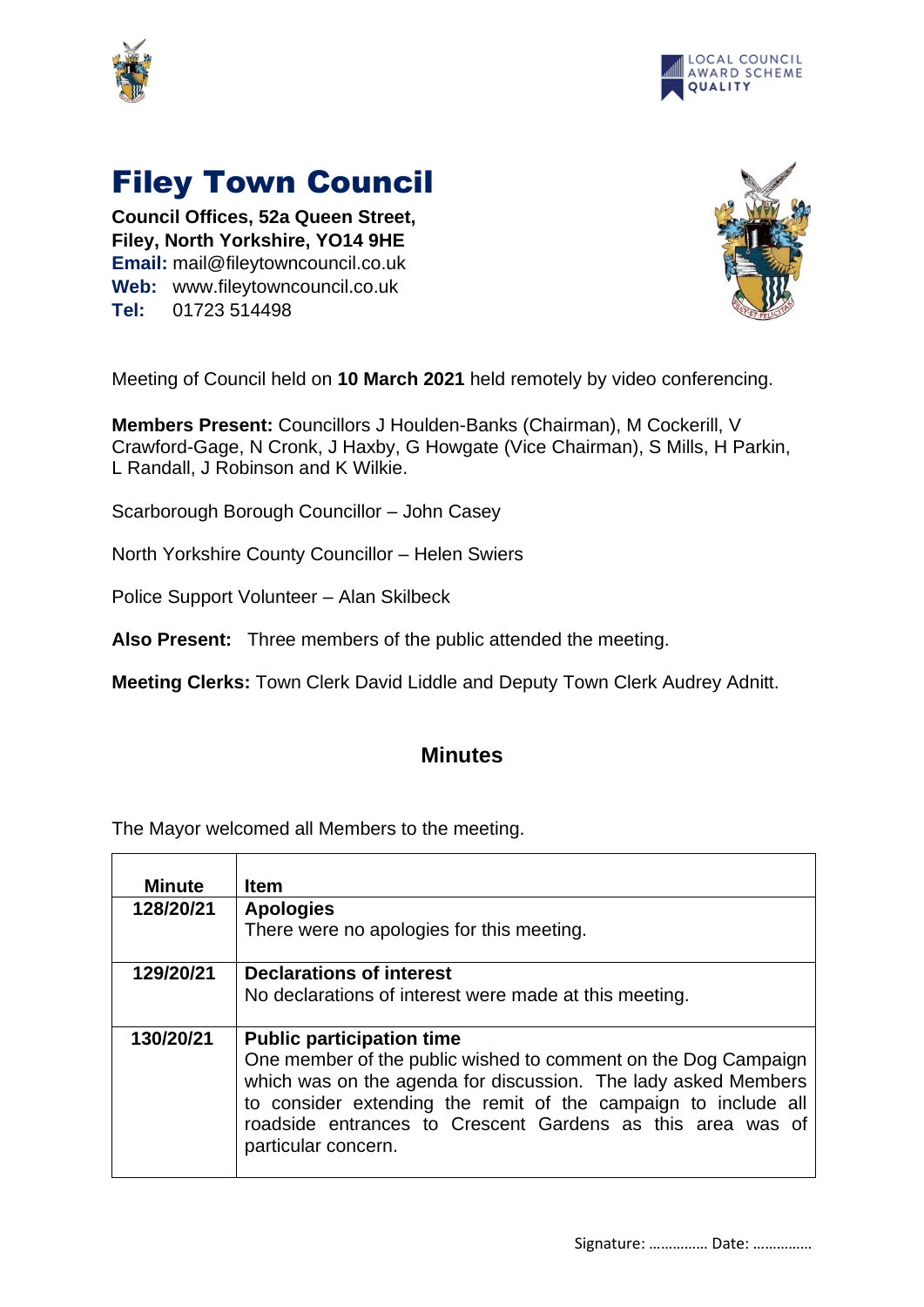



## Filey Town Council

**Council Offices, 52a Queen Street, Filey, North Yorkshire, YO14 9HE Email:** mail@fileytowncouncil.co.uk **Web:** www.fileytowncouncil.co.uk **Tel:** 01723 514498



Meeting of Council held on **10 March 2021** held remotely by video conferencing.

**Members Present:** Councillors J Houlden-Banks (Chairman), M Cockerill, V Crawford-Gage, N Cronk, J Haxby, G Howgate (Vice Chairman), S Mills, H Parkin, L Randall, J Robinson and K Wilkie.

Scarborough Borough Councillor – John Casey

North Yorkshire County Councillor – Helen Swiers

Police Support Volunteer – Alan Skilbeck

**Also Present:** Three members of the public attended the meeting.

**Meeting Clerks:** Town Clerk David Liddle and Deputy Town Clerk Audrey Adnitt.

## **Minutes**

The Mayor welcomed all Members to the meeting.

| Minute    | <b>Item</b>                                                    |
|-----------|----------------------------------------------------------------|
| 128/20/21 | <b>Apologies</b>                                               |
|           | There were no apologies for this meeting.                      |
| 129/20/21 | <b>Declarations of interest</b>                                |
|           | No declarations of interest were made at this meeting.         |
|           |                                                                |
| 130/20/21 | <b>Public participation time</b>                               |
|           | One member of the public wished to comment on the Dog Campaign |
|           | which was on the agenda for discussion. The lady asked Members |
|           | to consider extending the remit of the campaign to include all |
|           | roadside entrances to Crescent Gardens as this area was of     |
|           | particular concern.                                            |
|           |                                                                |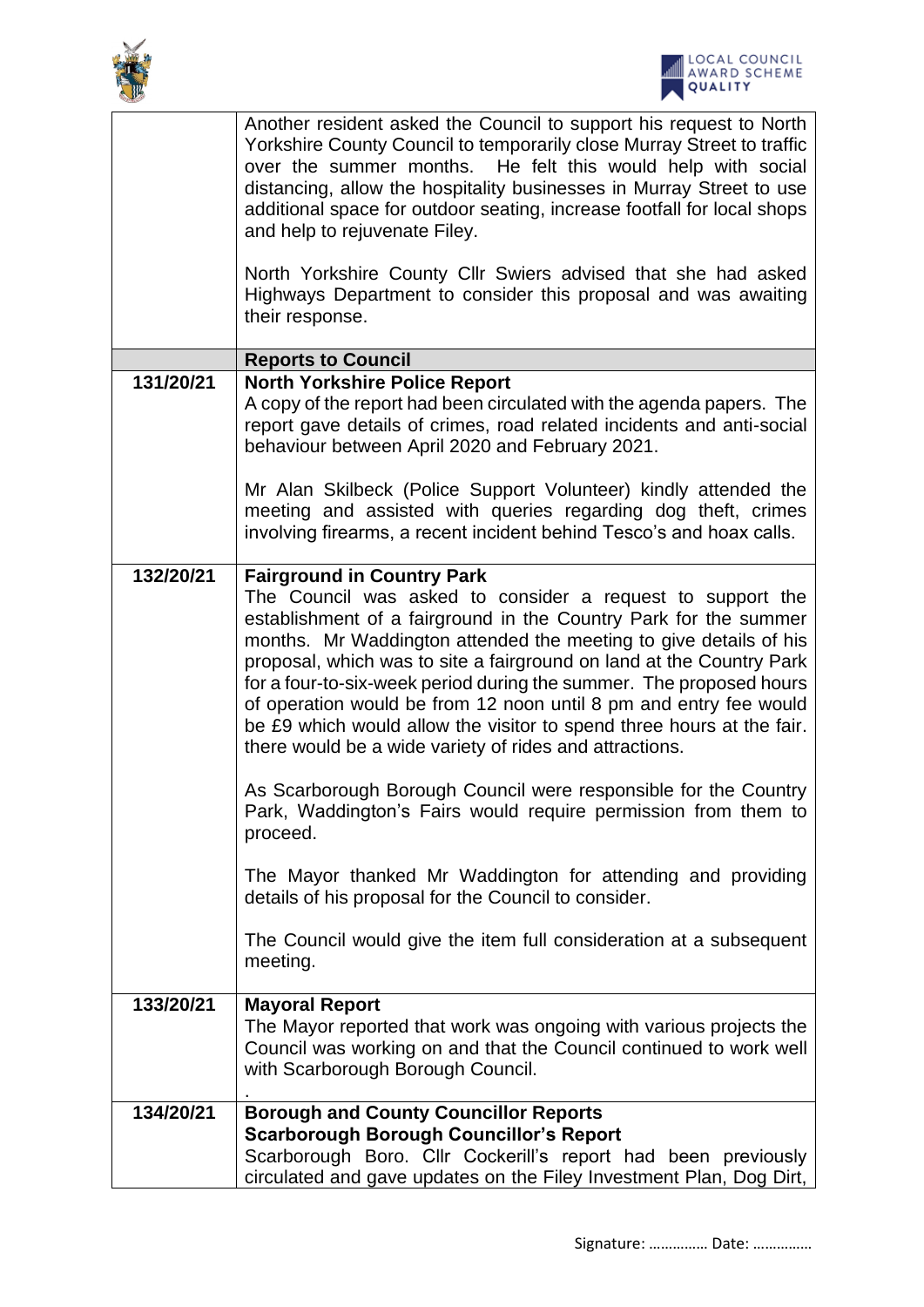



|           | Another resident asked the Council to support his request to North<br>Yorkshire County Council to temporarily close Murray Street to traffic<br>over the summer months. He felt this would help with social<br>distancing, allow the hospitality businesses in Murray Street to use<br>additional space for outdoor seating, increase footfall for local shops<br>and help to rejuvenate Filey.                                                                                                                                                                                                                                                                     |
|-----------|---------------------------------------------------------------------------------------------------------------------------------------------------------------------------------------------------------------------------------------------------------------------------------------------------------------------------------------------------------------------------------------------------------------------------------------------------------------------------------------------------------------------------------------------------------------------------------------------------------------------------------------------------------------------|
|           | North Yorkshire County Cllr Swiers advised that she had asked<br>Highways Department to consider this proposal and was awaiting<br>their response.                                                                                                                                                                                                                                                                                                                                                                                                                                                                                                                  |
|           | <b>Reports to Council</b>                                                                                                                                                                                                                                                                                                                                                                                                                                                                                                                                                                                                                                           |
| 131/20/21 | <b>North Yorkshire Police Report</b><br>A copy of the report had been circulated with the agenda papers. The<br>report gave details of crimes, road related incidents and anti-social<br>behaviour between April 2020 and February 2021.                                                                                                                                                                                                                                                                                                                                                                                                                            |
|           | Mr Alan Skilbeck (Police Support Volunteer) kindly attended the<br>meeting and assisted with queries regarding dog theft, crimes<br>involving firearms, a recent incident behind Tesco's and hoax calls.                                                                                                                                                                                                                                                                                                                                                                                                                                                            |
| 132/20/21 | <b>Fairground in Country Park</b><br>The Council was asked to consider a request to support the<br>establishment of a fairground in the Country Park for the summer<br>months. Mr Waddington attended the meeting to give details of his<br>proposal, which was to site a fairground on land at the Country Park<br>for a four-to-six-week period during the summer. The proposed hours<br>of operation would be from 12 noon until 8 pm and entry fee would<br>be £9 which would allow the visitor to spend three hours at the fair.<br>there would be a wide variety of rides and attractions.<br>As Scarborough Borough Council were responsible for the Country |
|           | Park, Waddington's Fairs would require permission from them to<br>proceed.<br>The Mayor thanked Mr Waddington for attending and providing<br>details of his proposal for the Council to consider.                                                                                                                                                                                                                                                                                                                                                                                                                                                                   |
|           | The Council would give the item full consideration at a subsequent<br>meeting.                                                                                                                                                                                                                                                                                                                                                                                                                                                                                                                                                                                      |
| 133/20/21 | <b>Mayoral Report</b><br>The Mayor reported that work was ongoing with various projects the<br>Council was working on and that the Council continued to work well<br>with Scarborough Borough Council.                                                                                                                                                                                                                                                                                                                                                                                                                                                              |
| 134/20/21 | <b>Borough and County Councillor Reports</b><br><b>Scarborough Borough Councillor's Report</b><br>Scarborough Boro. Cllr Cockerill's report had been previously<br>circulated and gave updates on the Filey Investment Plan, Dog Dirt,                                                                                                                                                                                                                                                                                                                                                                                                                              |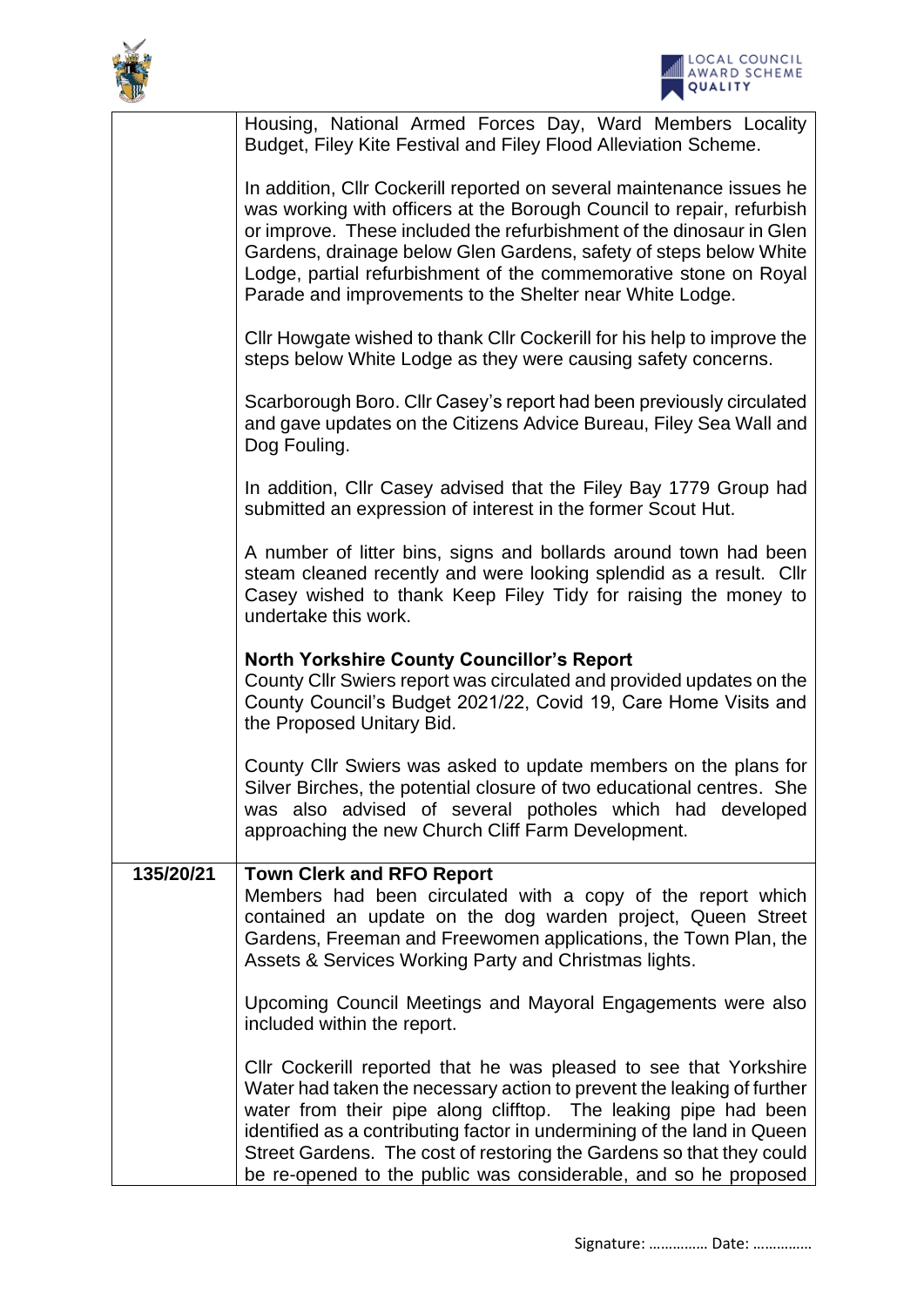



|           | Housing, National Armed Forces Day, Ward Members Locality<br>Budget, Filey Kite Festival and Filey Flood Alleviation Scheme.                                                                                                                                                                                                                                                                                                         |
|-----------|--------------------------------------------------------------------------------------------------------------------------------------------------------------------------------------------------------------------------------------------------------------------------------------------------------------------------------------------------------------------------------------------------------------------------------------|
|           | In addition, Cllr Cockerill reported on several maintenance issues he<br>was working with officers at the Borough Council to repair, refurbish<br>or improve. These included the refurbishment of the dinosaur in Glen<br>Gardens, drainage below Glen Gardens, safety of steps below White<br>Lodge, partial refurbishment of the commemorative stone on Royal<br>Parade and improvements to the Shelter near White Lodge.          |
|           | CIIr Howgate wished to thank CIIr Cockerill for his help to improve the<br>steps below White Lodge as they were causing safety concerns.                                                                                                                                                                                                                                                                                             |
|           | Scarborough Boro. Cllr Casey's report had been previously circulated<br>and gave updates on the Citizens Advice Bureau, Filey Sea Wall and<br>Dog Fouling.                                                                                                                                                                                                                                                                           |
|           | In addition, Cllr Casey advised that the Filey Bay 1779 Group had<br>submitted an expression of interest in the former Scout Hut.                                                                                                                                                                                                                                                                                                    |
|           | A number of litter bins, signs and bollards around town had been<br>steam cleaned recently and were looking splendid as a result. Cllr<br>Casey wished to thank Keep Filey Tidy for raising the money to<br>undertake this work.                                                                                                                                                                                                     |
|           | <b>North Yorkshire County Councillor's Report</b><br>County CIIr Swiers report was circulated and provided updates on the<br>County Council's Budget 2021/22, Covid 19, Care Home Visits and<br>the Proposed Unitary Bid.                                                                                                                                                                                                            |
|           | County Cllr Swiers was asked to update members on the plans for<br>Silver Birches, the potential closure of two educational centres. She<br>was also advised of several potholes which had developed<br>approaching the new Church Cliff Farm Development.                                                                                                                                                                           |
| 135/20/21 | <b>Town Clerk and RFO Report</b><br>Members had been circulated with a copy of the report which<br>contained an update on the dog warden project, Queen Street<br>Gardens, Freeman and Freewomen applications, the Town Plan, the<br>Assets & Services Working Party and Christmas lights.                                                                                                                                           |
|           | Upcoming Council Meetings and Mayoral Engagements were also<br>included within the report.                                                                                                                                                                                                                                                                                                                                           |
|           | CIIr Cockerill reported that he was pleased to see that Yorkshire<br>Water had taken the necessary action to prevent the leaking of further<br>water from their pipe along clifftop. The leaking pipe had been<br>identified as a contributing factor in undermining of the land in Queen<br>Street Gardens. The cost of restoring the Gardens so that they could<br>be re-opened to the public was considerable, and so he proposed |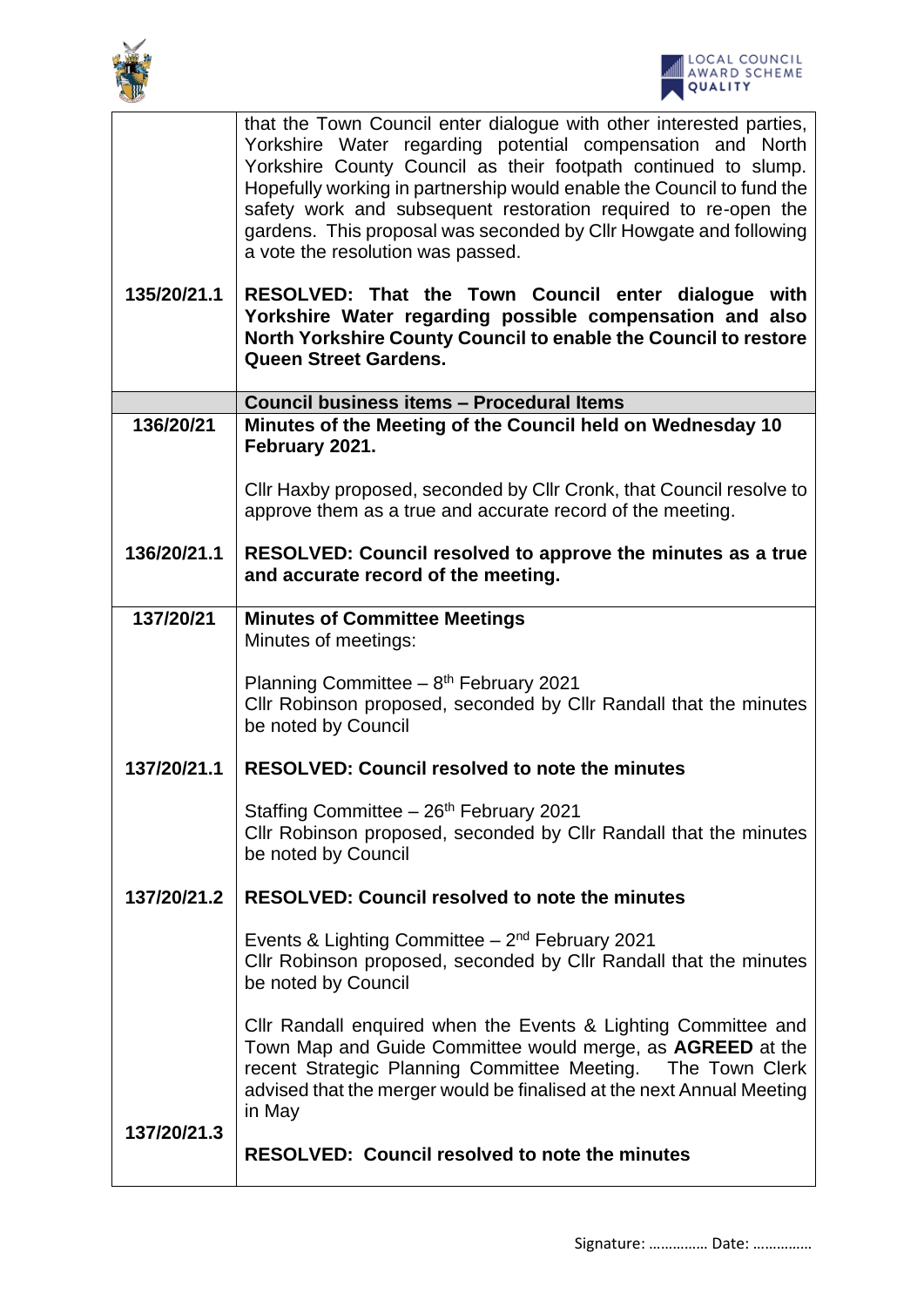

|             | that the Town Council enter dialogue with other interested parties,<br>Yorkshire Water regarding potential compensation and North<br>Yorkshire County Council as their footpath continued to slump.<br>Hopefully working in partnership would enable the Council to fund the<br>safety work and subsequent restoration required to re-open the<br>gardens. This proposal was seconded by Cllr Howgate and following<br>a vote the resolution was passed. |  |  |
|-------------|----------------------------------------------------------------------------------------------------------------------------------------------------------------------------------------------------------------------------------------------------------------------------------------------------------------------------------------------------------------------------------------------------------------------------------------------------------|--|--|
| 135/20/21.1 | RESOLVED: That the Town Council enter dialogue with<br>Yorkshire Water regarding possible compensation and also<br>North Yorkshire County Council to enable the Council to restore<br><b>Queen Street Gardens.</b>                                                                                                                                                                                                                                       |  |  |
|             | Council business items - Procedural Items                                                                                                                                                                                                                                                                                                                                                                                                                |  |  |
| 136/20/21   | Minutes of the Meeting of the Council held on Wednesday 10<br>February 2021.                                                                                                                                                                                                                                                                                                                                                                             |  |  |
|             | Cllr Haxby proposed, seconded by Cllr Cronk, that Council resolve to<br>approve them as a true and accurate record of the meeting.                                                                                                                                                                                                                                                                                                                       |  |  |
| 136/20/21.1 | RESOLVED: Council resolved to approve the minutes as a true<br>and accurate record of the meeting.                                                                                                                                                                                                                                                                                                                                                       |  |  |
| 137/20/21   | <b>Minutes of Committee Meetings</b>                                                                                                                                                                                                                                                                                                                                                                                                                     |  |  |
|             | Minutes of meetings:                                                                                                                                                                                                                                                                                                                                                                                                                                     |  |  |
|             | Planning Committee $-8$ <sup>th</sup> February 2021<br>Cllr Robinson proposed, seconded by Cllr Randall that the minutes<br>be noted by Council                                                                                                                                                                                                                                                                                                          |  |  |
| 137/20/21.1 | <b>RESOLVED: Council resolved to note the minutes</b>                                                                                                                                                                                                                                                                                                                                                                                                    |  |  |
|             | Staffing Committee - 26th February 2021<br>Cllr Robinson proposed, seconded by Cllr Randall that the minutes<br>be noted by Council                                                                                                                                                                                                                                                                                                                      |  |  |
| 137/20/21.2 | <b>RESOLVED: Council resolved to note the minutes</b>                                                                                                                                                                                                                                                                                                                                                                                                    |  |  |
|             | Events & Lighting Committee $-2nd$ February 2021<br>Cllr Robinson proposed, seconded by Cllr Randall that the minutes<br>be noted by Council                                                                                                                                                                                                                                                                                                             |  |  |
| 137/20/21.3 | Cllr Randall enquired when the Events & Lighting Committee and<br>Town Map and Guide Committee would merge, as AGREED at the<br>recent Strategic Planning Committee Meeting.  The Town Clerk<br>advised that the merger would be finalised at the next Annual Meeting<br>in May                                                                                                                                                                          |  |  |
|             | <b>RESOLVED: Council resolved to note the minutes</b>                                                                                                                                                                                                                                                                                                                                                                                                    |  |  |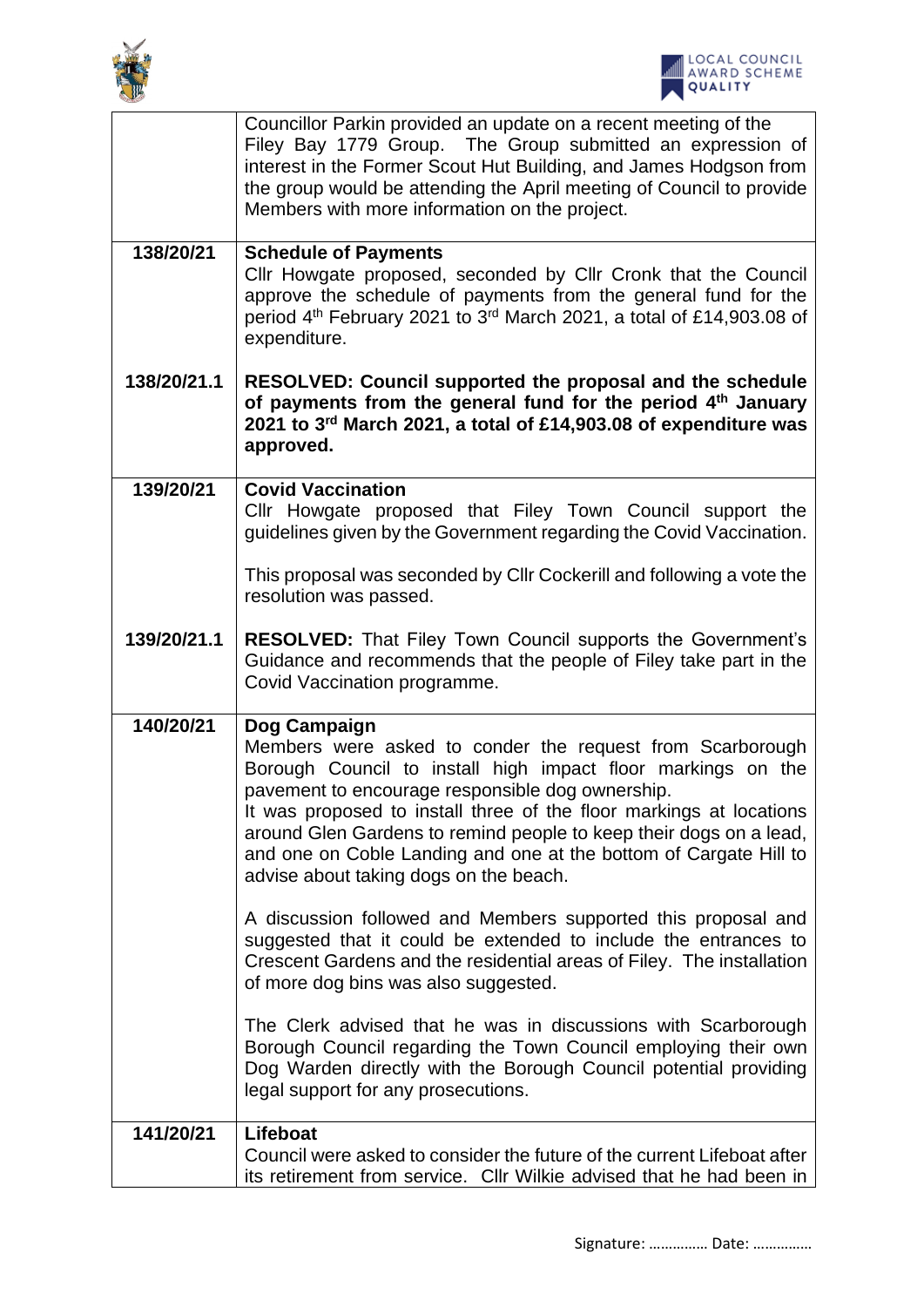



|             | Councillor Parkin provided an update on a recent meeting of the<br>Filey Bay 1779 Group. The Group submitted an expression of<br>interest in the Former Scout Hut Building, and James Hodgson from<br>the group would be attending the April meeting of Council to provide<br>Members with more information on the project.                                                                                                                               |
|-------------|-----------------------------------------------------------------------------------------------------------------------------------------------------------------------------------------------------------------------------------------------------------------------------------------------------------------------------------------------------------------------------------------------------------------------------------------------------------|
| 138/20/21   | <b>Schedule of Payments</b><br>Cllr Howgate proposed, seconded by Cllr Cronk that the Council<br>approve the schedule of payments from the general fund for the<br>period 4 <sup>th</sup> February 2021 to 3 <sup>rd</sup> March 2021, a total of £14,903.08 of<br>expenditure.                                                                                                                                                                           |
| 138/20/21.1 | RESOLVED: Council supported the proposal and the schedule<br>of payments from the general fund for the period 4 <sup>th</sup> January<br>2021 to 3rd March 2021, a total of £14,903.08 of expenditure was<br>approved.                                                                                                                                                                                                                                    |
| 139/20/21   | <b>Covid Vaccination</b><br>Cllr Howgate proposed that Filey Town Council support the<br>guidelines given by the Government regarding the Covid Vaccination.<br>This proposal was seconded by Cllr Cockerill and following a vote the<br>resolution was passed.                                                                                                                                                                                           |
| 139/20/21.1 | RESOLVED: That Filey Town Council supports the Government's<br>Guidance and recommends that the people of Filey take part in the<br>Covid Vaccination programme.                                                                                                                                                                                                                                                                                          |
| 140/20/21   | Dog Campaign<br>Members were asked to conder the request from Scarborough<br>Borough Council to install high impact floor markings on the<br>pavement to encourage responsible dog ownership.<br>It was proposed to install three of the floor markings at locations<br>around Glen Gardens to remind people to keep their dogs on a lead,<br>and one on Coble Landing and one at the bottom of Cargate Hill to<br>advise about taking dogs on the beach. |
|             | A discussion followed and Members supported this proposal and<br>suggested that it could be extended to include the entrances to<br>Crescent Gardens and the residential areas of Filey. The installation<br>of more dog bins was also suggested.                                                                                                                                                                                                         |
|             | The Clerk advised that he was in discussions with Scarborough<br>Borough Council regarding the Town Council employing their own<br>Dog Warden directly with the Borough Council potential providing<br>legal support for any prosecutions.                                                                                                                                                                                                                |
| 141/20/21   | Lifeboat<br>Council were asked to consider the future of the current Lifeboat after<br>its retirement from service. Cllr Wilkie advised that he had been in                                                                                                                                                                                                                                                                                               |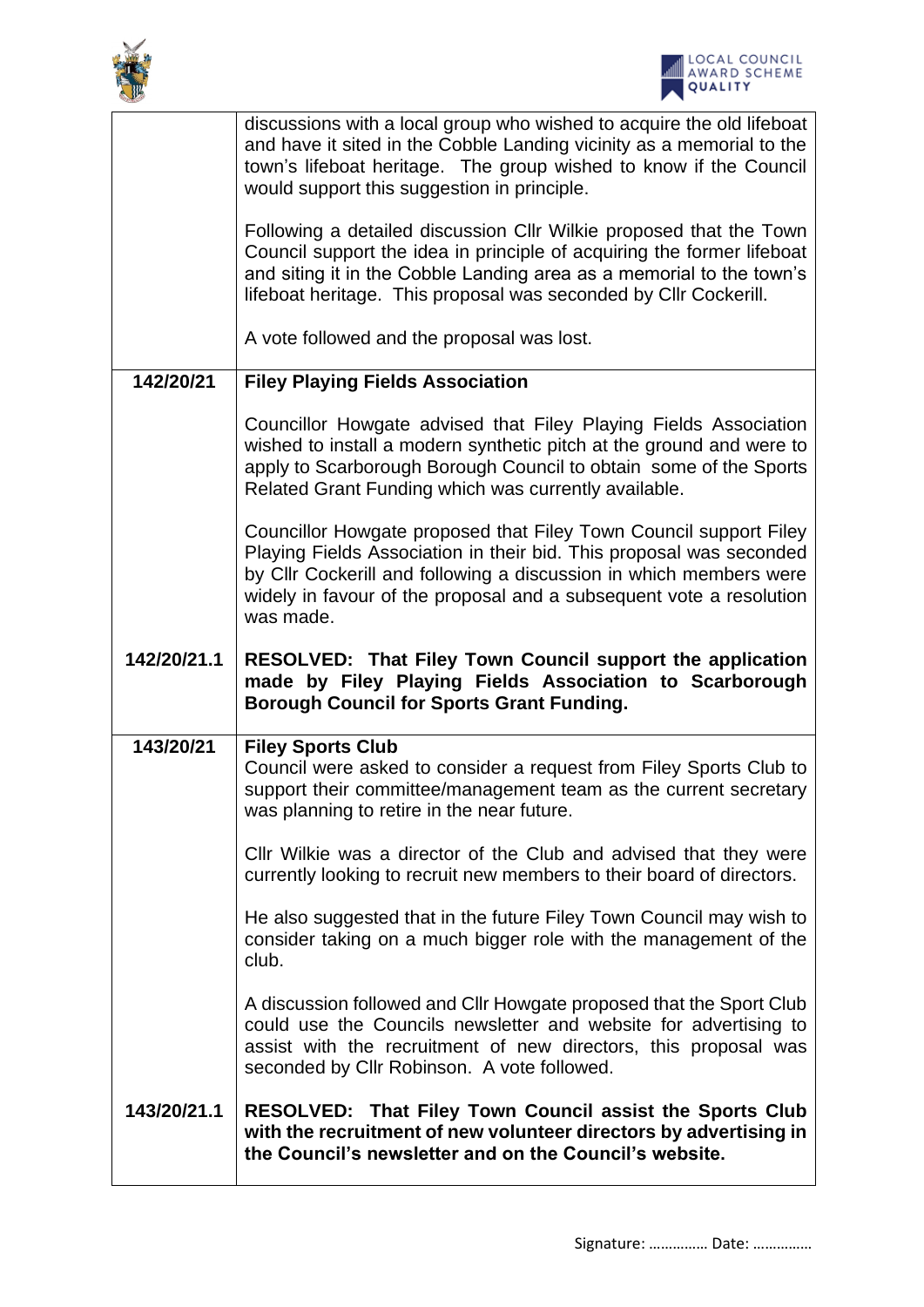



|             | discussions with a local group who wished to acquire the old lifeboat<br>and have it sited in the Cobble Landing vicinity as a memorial to the<br>town's lifeboat heritage. The group wished to know if the Council<br>would support this suggestion in principle.                                 |  |
|-------------|----------------------------------------------------------------------------------------------------------------------------------------------------------------------------------------------------------------------------------------------------------------------------------------------------|--|
|             | Following a detailed discussion Cllr Wilkie proposed that the Town<br>Council support the idea in principle of acquiring the former lifeboat<br>and siting it in the Cobble Landing area as a memorial to the town's<br>lifeboat heritage. This proposal was seconded by Cllr Cockerill.           |  |
|             | A vote followed and the proposal was lost.                                                                                                                                                                                                                                                         |  |
| 142/20/21   | <b>Filey Playing Fields Association</b>                                                                                                                                                                                                                                                            |  |
|             | Councillor Howgate advised that Filey Playing Fields Association<br>wished to install a modern synthetic pitch at the ground and were to<br>apply to Scarborough Borough Council to obtain some of the Sports<br>Related Grant Funding which was currently available.                              |  |
|             | Councillor Howgate proposed that Filey Town Council support Filey<br>Playing Fields Association in their bid. This proposal was seconded<br>by Cllr Cockerill and following a discussion in which members were<br>widely in favour of the proposal and a subsequent vote a resolution<br>was made. |  |
| 142/20/21.1 | RESOLVED: That Filey Town Council support the application<br>made by Filey Playing Fields Association to Scarborough<br><b>Borough Council for Sports Grant Funding.</b>                                                                                                                           |  |
|             |                                                                                                                                                                                                                                                                                                    |  |
| 143/20/21   | <b>Filey Sports Club</b><br>Council were asked to consider a request from Filey Sports Club to<br>support their committee/management team as the current secretary<br>was planning to retire in the near future.                                                                                   |  |
|             | CIIr Wilkie was a director of the Club and advised that they were<br>currently looking to recruit new members to their board of directors.                                                                                                                                                         |  |
|             | He also suggested that in the future Filey Town Council may wish to<br>consider taking on a much bigger role with the management of the<br>club.                                                                                                                                                   |  |
|             | A discussion followed and CIIr Howgate proposed that the Sport Club<br>could use the Councils newsletter and website for advertising to<br>assist with the recruitment of new directors, this proposal was<br>seconded by Cllr Robinson. A vote followed.                                          |  |